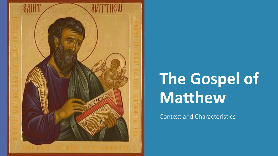

## **The Gospel of Matthew**

Context and Characteristics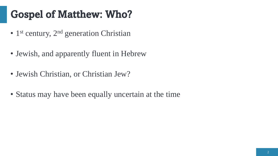#### Gospel of Matthew: Who?

- 1<sup>st</sup> century, 2<sup>nd</sup> generation Christian
- Jewish, and apparently fluent in Hebrew
- Jewish Christian, or Christian Jew?
- Status may have been equally uncertain at the time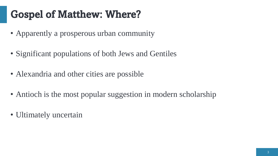#### Gospel of Matthew: Where?

- Apparently a prosperous urban community
- Significant populations of both Jews and Gentiles
- Alexandria and other cities are possible
- Antioch is the most popular suggestion in modern scholarship
- Ultimately uncertain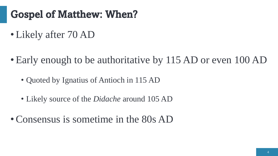#### Gospel of Matthew: When?

- •Likely after 70 AD
- Early enough to be authoritative by 115 AD or even 100 AD
	- Quoted by Ignatius of Antioch in 115 AD
	- Likely source of the *Didache* around 105 AD
- Consensus is sometime in the 80s AD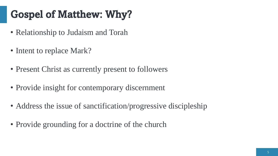## Gospel of Matthew: Why?

- Relationship to Judaism and Torah
- Intent to replace Mark?
- Present Christ as currently present to followers
- Provide insight for contemporary discernment
- Address the issue of sanctification/progressive discipleship
- Provide grounding for a doctrine of the church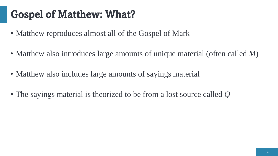#### Gospel of Matthew: What?

- Matthew reproduces almost all of the Gospel of Mark
- Matthew also introduces large amounts of unique material (often called *M*)
- Matthew also includes large amounts of sayings material
- The sayings material is theorized to be from a lost source called *Q*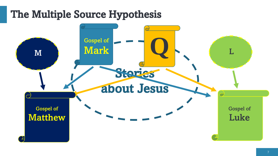#### The Multiple Source Hypothesis

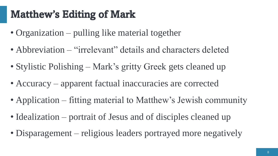#### Matthew's Editing of Mark

- Organization pulling like material together
- Abbreviation "irrelevant" details and characters deleted
- Stylistic Polishing Mark's gritty Greek gets cleaned up
- Accuracy apparent factual inaccuracies are corrected
- Application fitting material to Matthew's Jewish community
- Idealization portrait of Jesus and of disciples cleaned up
- Disparagement religious leaders portrayed more negatively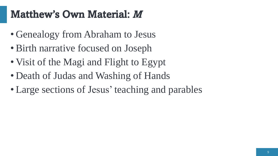#### Matthew's Own Material: *M*

- Genealogy from Abraham to Jesus
- Birth narrative focused on Joseph
- Visit of the Magi and Flight to Egypt
- Death of Judas and Washing of Hands
- Large sections of Jesus' teaching and parables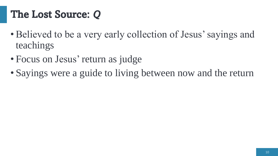#### The Lost Source: *Q*

- Believed to be a very early collection of Jesus' sayings and teachings
- Focus on Jesus' return as judge
- Sayings were a guide to living between now and the return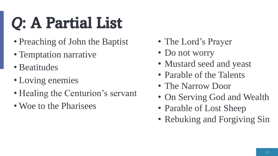# *Q*: A Partial List

- Preaching of John the Baptist
- Temptation narrative
- Beatitudes
- Loving enemies
- Healing the Centurion's servant
- Woe to the Pharisees
- The Lord's Prayer
- Do not worry
- Mustard seed and yeast
- Parable of the Talents
- The Narrow Door
- On Serving God and Wealth
- Parable of Lost Sheep
- Rebuking and Forgiving Sin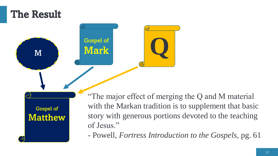#### The Result

Gospel of **Matthew**  Gospel of

<sup>M</sup> Mark **Q**

"The major effect of merging the Q and M material with the Markan tradition is to supplement that basic story with generous portions devoted to the teaching of Jesus."

- Powell, *Fortress Introduction to the Gospels,* pg. 61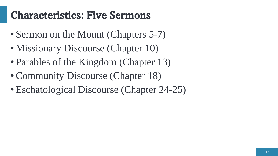#### Characteristics: Five Sermons

- Sermon on the Mount (Chapters 5-7)
- Missionary Discourse (Chapter 10)
- Parables of the Kingdom (Chapter 13)
- Community Discourse (Chapter 18)
- Eschatological Discourse (Chapter 24-25)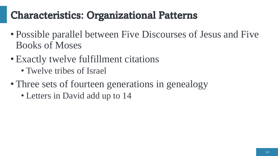#### Characteristics: Organizational Patterns

- Possible parallel between Five Discourses of Jesus and Five Books of Moses
- Exactly twelve fulfillment citations
	- Twelve tribes of Israel
- Three sets of fourteen generations in genealogy
	- Letters in David add up to 14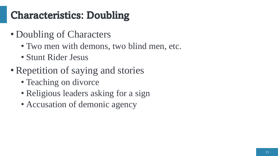## Characteristics: Doubling

- Doubling of Characters
	- Two men with demons, two blind men, etc.
	- Stunt Rider Jesus
- Repetition of saying and stories
	- Teaching on divorce
	- Religious leaders asking for a sign
	- Accusation of demonic agency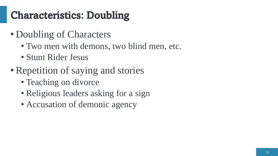## Characteristics: Doubling

- Doubling of Characters
	- Two men with demons, two blind men, etc.
	- Stunt Rider Jesus
- Repetition of saying and stories
	- Teaching on divorce
	- Religious leaders asking for a sign
	- Accusation of demonic agency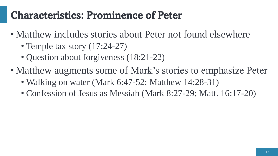#### Characteristics: Prominence of Peter

- Matthew includes stories about Peter not found elsewhere
	- Temple tax story  $(17:24-27)$
	- Question about forgiveness (18:21-22)
- Matthew augments some of Mark's stories to emphasize Peter
	- Walking on water (Mark 6:47-52; Matthew 14:28-31)
	- Confession of Jesus as Messiah (Mark 8:27-29; Matt. 16:17-20)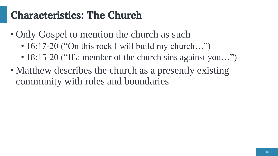#### Characteristics: The Church

- Only Gospel to mention the church as such
	- 16:17-20 ("On this rock I will build my church...")
	- 18:15-20 ("If a member of the church sins against you...")
- Matthew describes the church as a presently existing community with rules and boundaries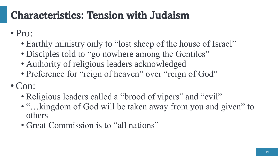#### Characteristics: Tension with Judaism

• Pro:

- Earthly ministry only to "lost sheep of the house of Israel"
- Disciples told to "go nowhere among the Gentiles"
- Authority of religious leaders acknowledged
- Preference for "reign of heaven" over "reign of God"
- •Con:
	- Religious leaders called a "brood of vipers" and "evil"
	- "...kingdom of God will be taken away from you and given" to others
	- Great Commission is to "all nations"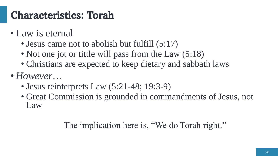#### Characteristics: Torah

- Law is eternal
	- Jesus came not to abolish but fulfill  $(5:17)$
	- Not one jot or tittle will pass from the Law (5:18)
	- Christians are expected to keep dietary and sabbath laws
- *However*…
	- Jesus reinterprets Law (5:21-48; 19:3-9)
	- Great Commission is grounded in commandments of Jesus, not Law

#### The implication here is, "We do Torah right."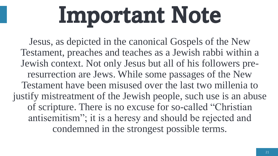# Important Note

Jesus, as depicted in the canonical Gospels of the New Testament, preaches and teaches as a Jewish rabbi within a Jewish context. Not only Jesus but all of his followers preresurrection are Jews. While some passages of the New Testament have been misused over the last two millenia to justify mistreatment of the Jewish people, such use is an abuse of scripture. There is no excuse for so-called "Christian antisemitism"; it is a heresy and should be rejected and condemned in the strongest possible terms.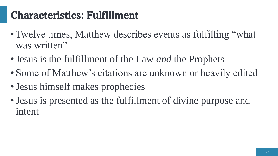#### Characteristics: Fulfillment

- Twelve times, Matthew describes events as fulfilling "what was written"
- •Jesus is the fulfillment of the Law *and* the Prophets
- Some of Matthew's citations are unknown or heavily edited
- Jesus himself makes prophecies
- •Jesus is presented as the fulfillment of divine purpose and intent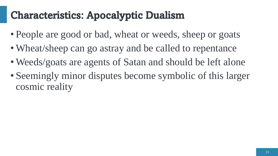#### Characteristics: Apocalyptic Dualism

- People are good or bad, wheat or weeds, sheep or goats
- Wheat/sheep can go astray and be called to repentance
- Weeds/goats are agents of Satan and should be left alone
- Seemingly minor disputes become symbolic of this larger cosmic reality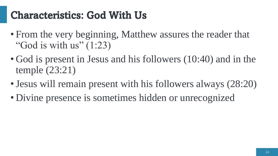#### Characteristics: God With Us

- From the very beginning, Matthew assures the reader that "God is with us"  $(1:23)$
- God is present in Jesus and his followers (10:40) and in the temple (23:21)
- Jesus will remain present with his followers always (28:20)
- Divine presence is sometimes hidden or unrecognized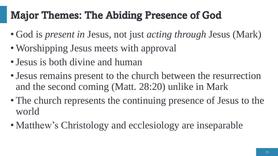## Major Themes: The Abiding Presence of God

- God is *present in* Jesus, not just *acting through* Jesus (Mark)
- Worshipping Jesus meets with approval
- Jesus is both divine and human
- •Jesus remains present to the church between the resurrection and the second coming (Matt. 28:20) unlike in Mark
- The church represents the continuing presence of Jesus to the world
- Matthew's Christology and ecclesiology are inseparable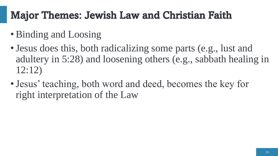#### Major Themes: Jewish Law and Christian Faith

- Binding and Loosing
- Jesus does this, both radicalizing some parts (e.g., lust and adultery in 5:28) and loosening others (e.g., sabbath healing in 12:12)
- •Jesus' teaching, both word and deed, becomes the key for right interpretation of the Law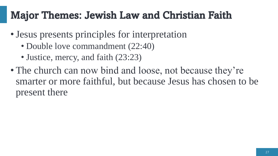#### Major Themes: Jewish Law and Christian Faith

- •Jesus presents principles for interpretation
	- Double love commandment (22:40)
	- Justice, mercy, and faith (23:23)
- The church can now bind and loose, not because they're smarter or more faithful, but because Jesus has chosen to be present there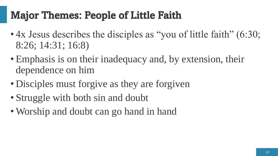#### Major Themes: People of Little Faith

- 4x Jesus describes the disciples as "you of little faith" (6:30; 8:26; 14:31; 16:8)
- Emphasis is on their inadequacy and, by extension, their dependence on him
- Disciples must forgive as they are forgiven
- Struggle with both sin and doubt
- Worship and doubt can go hand in hand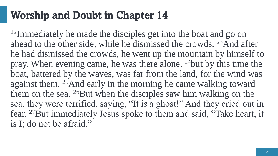#### Worship and Doubt in Chapter 14

<sup>22</sup>Immediately he made the disciples get into the boat and go on ahead to the other side, while he dismissed the crowds. <sup>23</sup>And after he had dismissed the crowds, he went up the mountain by himself to pray. When evening came, he was there alone, <sup>24</sup>but by this time the boat, battered by the waves, was far from the land, for the wind was against them. <sup>25</sup>And early in the morning he came walking toward them on the sea. <sup>26</sup>But when the disciples saw him walking on the sea, they were terrified, saying, "It is a ghost!" And they cried out in fear. <sup>27</sup>But immediately Jesus spoke to them and said, "Take heart, it is I; do not be afraid."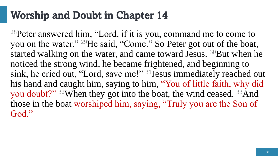#### Worship and Doubt in Chapter 14

<sup>28</sup>Peter answered him, "Lord, if it is you, command me to come to you on the water." <sup>29</sup>He said, "Come." So Peter got out of the boat, started walking on the water, and came toward Jesus. <sup>30</sup>But when he noticed the strong wind, he became frightened, and beginning to sink, he cried out, "Lord, save me!" <sup>31</sup>Jesus immediately reached out his hand and caught him, saying to him, "You of little faith, why did you doubt?" <sup>32</sup>When they got into the boat, the wind ceased. <sup>33</sup>And those in the boat worshiped him, saying, "Truly you are the Son of God."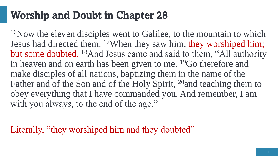#### Worship and Doubt in Chapter 28

<sup>16</sup>Now the eleven disciples went to Galilee, to the mountain to which Jesus had directed them. <sup>17</sup>When they saw him, they worshiped him; but some doubted. <sup>18</sup>And Jesus came and said to them, "All authority in heaven and on earth has been given to me. <sup>19</sup>Go therefore and make disciples of all nations, baptizing them in the name of the Father and of the Son and of the Holy Spirit, <sup>20</sup> and teaching them to obey everything that I have commanded you. And remember, I am with you always, to the end of the age."

Literally, "they worshiped him and they doubted"